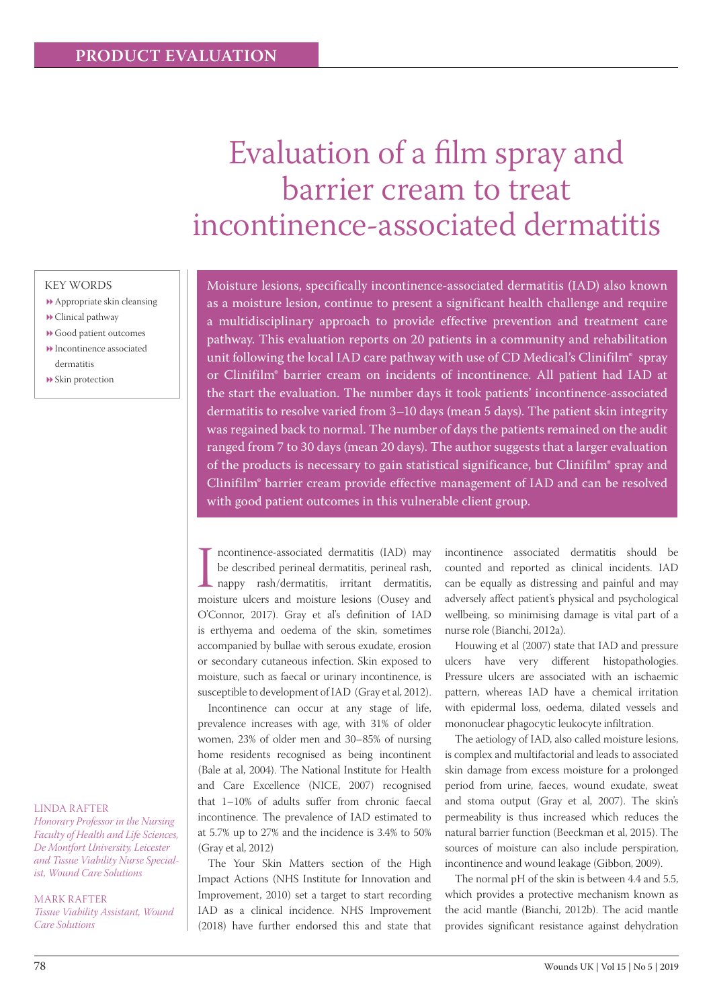# Evaluation of a film spray and barrier cream to treat incontinence-associated dermatitis

# KEY WORDS

- Appropriate skin cleansing
- Clinical pathway
- Good patient outcomes Incontinence associated dermatitis
- Skin protection

#### LINDA RAFTER

*Honorary Professor in the Nursing Faculty of Health and Life Sciences, De Montfort University, Leicester and Tissue Viability Nurse Specialist, Wound Care Solutions* 

MARK RAFTER *Tissue Viability Assistant, Wound Care Solutions* 

Moisture lesions, specifically incontinence-associated dermatitis (IAD) also known as a moisture lesion, continue to present a significant health challenge and require a multidisciplinary approach to provide effective prevention and treatment care pathway. This evaluation reports on 20 patients in a community and rehabilitation unit following the local IAD care pathway with use of CD Medical's Clinifilm® spray or Clinifilm® barrier cream on incidents of incontinence. All patient had IAD at the start the evaluation. The number days it took patients' incontinence-associated dermatitis to resolve varied from 3–10 days (mean 5 days). The patient skin integrity was regained back to normal. The number of days the patients remained on the audit ranged from 7 to 30 days (mean 20 days). The author suggests that a larger evaluation of the products is necessary to gain statistical significance, but Clinifilm® spray and Clinifilm® barrier cream provide effective management of IAD and can be resolved with good patient outcomes in this vulnerable client group.

Incontinence-associated dermatitis (IAD) may<br>be described perineal dermatitis, perineal rash,<br>nappy rash/dermatitis, irritant dermatitis,<br>moisture ulcers and moisture lesions (Ousey and ncontinence-associated dermatitis (IAD) may be described perineal dermatitis, perineal rash, nappy rash/dermatitis, irritant dermatitis, O'Connor, 2017). Gray et al's definition of IAD is erthyema and oedema of the skin, sometimes accompanied by bullae with serous exudate, erosion or secondary cutaneous infection. Skin exposed to moisture, such as faecal or urinary incontinence, is susceptible to development of IAD (Gray et al, 2012).

Incontinence can occur at any stage of life, prevalence increases with age, with 31% of older women, 23% of older men and 30–85% of nursing home residents recognised as being incontinent (Bale at al, 2004). The National Institute for Health and Care Excellence (NICE, 2007) recognised that 1–10% of adults suffer from chronic faecal incontinence. The prevalence of IAD estimated to at 5.7% up to 27% and the incidence is 3.4% to 50% (Gray et al, 2012)

The Your Skin Matters section of the High Impact Actions (NHS Institute for Innovation and Improvement, 2010) set a target to start recording IAD as a clinical incidence. NHS Improvement (2018) have further endorsed this and state that

incontinence associated dermatitis should be counted and reported as clinical incidents. IAD can be equally as distressing and painful and may adversely affect patient's physical and psychological wellbeing, so minimising damage is vital part of a nurse role (Bianchi, 2012a).

Houwing et al (2007) state that IAD and pressure ulcers have very different histopathologies. Pressure ulcers are associated with an ischaemic pattern, whereas IAD have a chemical irritation with epidermal loss, oedema, dilated vessels and mononuclear phagocytic leukocyte infiltration.

The aetiology of IAD, also called moisture lesions, is complex and multifactorial and leads to associated skin damage from excess moisture for a prolonged period from urine, faeces, wound exudate, sweat and stoma output (Gray et al, 2007). The skin's permeability is thus increased which reduces the natural barrier function (Beeckman et al, 2015). The sources of moisture can also include perspiration, incontinence and wound leakage (Gibbon, 2009).

The normal pH of the skin is between 4.4 and 5.5, which provides a protective mechanism known as the acid mantle (Bianchi, 2012b). The acid mantle provides significant resistance against dehydration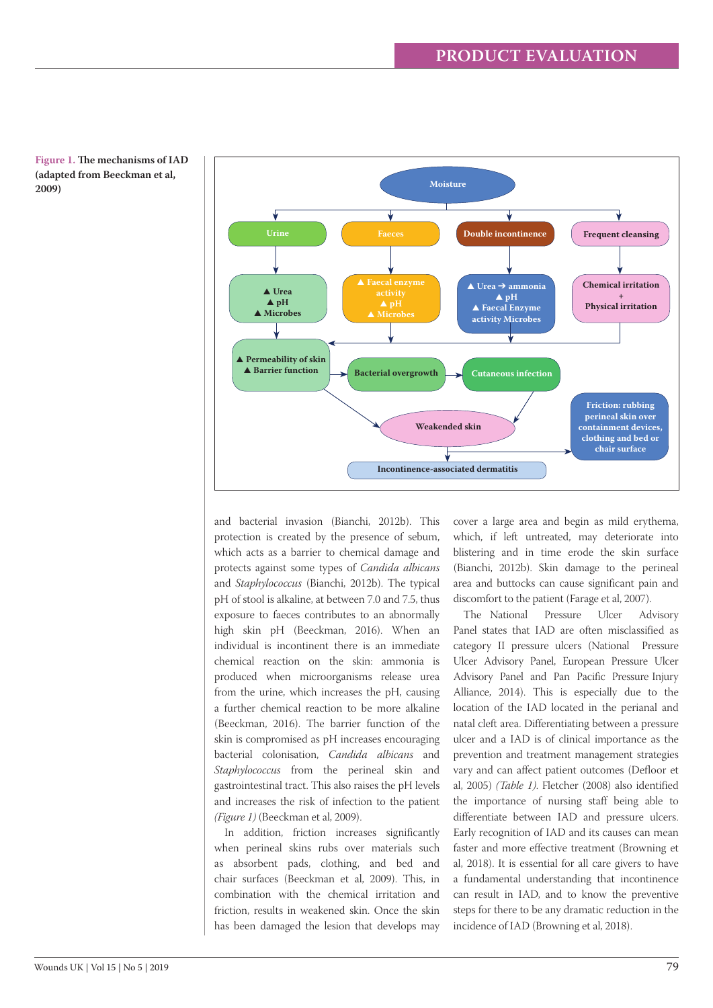



and bacterial invasion (Bianchi, 2012b). This protection is created by the presence of sebum, which acts as a barrier to chemical damage and protects against some types of *Candida albicans* and *Staphylococcus* (Bianchi, 2012b). The typical pH of stool is alkaline, at between 7.0 and 7.5, thus exposure to faeces contributes to an abnormally high skin pH (Beeckman, 2016). When an individual is incontinent there is an immediate chemical reaction on the skin: ammonia is produced when microorganisms release urea from the urine, which increases the pH, causing a further chemical reaction to be more alkaline (Beeckman, 2016). The barrier function of the skin is compromised as pH increases encouraging bacterial colonisation, *Candida albicans* and *Staphylococcus* from the perineal skin and gastrointestinal tract. This also raises the pH levels and increases the risk of infection to the patient *(Figure 1)* (Beeckman et al, 2009).

In addition, friction increases significantly when perineal skins rubs over materials such as absorbent pads, clothing, and bed and chair surfaces (Beeckman et al, 2009). This, in combination with the chemical irritation and friction, results in weakened skin. Once the skin has been damaged the lesion that develops may

cover a large area and begin as mild erythema, which, if left untreated, may deteriorate into blistering and in time erode the skin surface (Bianchi, 2012b). Skin damage to the perineal area and buttocks can cause significant pain and discomfort to the patient (Farage et al, 2007).

The National Pressure Ulcer Advisory Panel states that IAD are often misclassified as category II pressure ulcers (National Pressure Ulcer Advisory Panel, European Pressure Ulcer Advisory Panel and Pan Pacific Pressure Injury Alliance, 2014). This is especially due to the location of the IAD located in the perianal and natal cleft area. Differentiating between a pressure ulcer and a IAD is of clinical importance as the prevention and treatment management strategies vary and can affect patient outcomes (Defloor et al, 2005) *(Table 1)*. Fletcher (2008) also identified the importance of nursing staff being able to differentiate between IAD and pressure ulcers. Early recognition of IAD and its causes can mean faster and more effective treatment (Browning et al, 2018). It is essential for all care givers to have a fundamental understanding that incontinence can result in IAD, and to know the preventive steps for there to be any dramatic reduction in the incidence of IAD (Browning et al, 2018).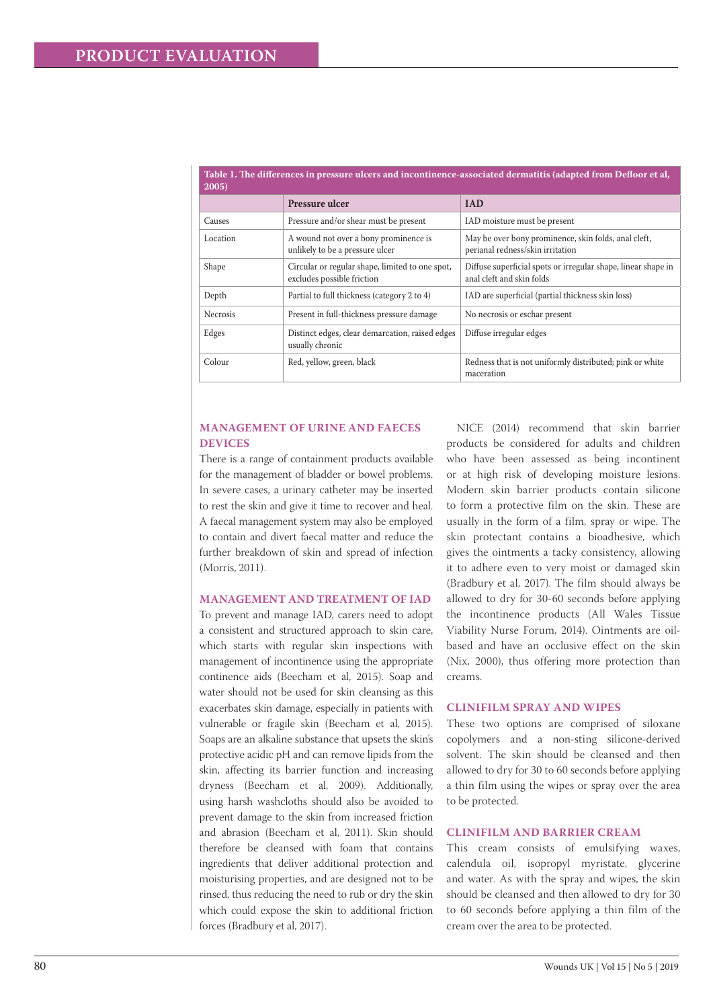| $2005$ ) |                                                                               |                                                                                            |  |  |  |  |
|----------|-------------------------------------------------------------------------------|--------------------------------------------------------------------------------------------|--|--|--|--|
|          | Pressure ulcer                                                                | <b>IAD</b>                                                                                 |  |  |  |  |
| Causes   | Pressure and/or shear must be present                                         | IAD moisture must be present                                                               |  |  |  |  |
| Location | A wound not over a bony prominence is<br>unlikely to be a pressure ulcer      | May be over bony prominence, skin folds, anal cleft,<br>perianal redness/skin irritation   |  |  |  |  |
| Shape    | Circular or regular shape, limited to one spot,<br>excludes possible friction | Diffuse superficial spots or irregular shape, linear shape in<br>anal cleft and skin folds |  |  |  |  |
| Depth    | Partial to full thickness (category 2 to 4)                                   | IAD are superficial (partial thickness skin loss)                                          |  |  |  |  |
| Necrosis | Present in full-thickness pressure damage                                     | No necrosis or eschar present                                                              |  |  |  |  |
| Edges    | Distinct edges, clear demarcation, raised edges<br>usually chronic            | Diffuse irregular edges                                                                    |  |  |  |  |
| Colour   | Red, yellow, green, black                                                     | Redness that is not uniformly distributed; pink or white<br>maceration                     |  |  |  |  |

# **Table 1. The differences in pressure ulcers and incontinence-associated dermatitis (adapted from Defloor et al,**

# **MANAGEMENT OF URINE AND FAECES DEVICES**

There is a range of containment products available for the management of bladder or bowel problems. In severe cases, a urinary catheter may be inserted to rest the skin and give it time to recover and heal. A faecal management system may also be employed to contain and divert faecal matter and reduce the further breakdown of skin and spread of infection (Morris, 2011).

# **MANAGEMENT AND TREATMENT OF IAD**

To prevent and manage IAD, carers need to adopt a consistent and structured approach to skin care, which starts with regular skin inspections with management of incontinence using the appropriate continence aids (Beecham et al, 2015). Soap and water should not be used for skin cleansing as this exacerbates skin damage, especially in patients with vulnerable or fragile skin (Beecham et al, 2015). Soaps are an alkaline substance that upsets the skin's protective acidic pH and can remove lipids from the skin, affecting its barrier function and increasing dryness (Beecham et al, 2009). Additionally, using harsh washcloths should also be avoided to prevent damage to the skin from increased friction and abrasion (Beecham et al, 2011). Skin should therefore be cleansed with foam that contains ingredients that deliver additional protection and moisturising properties, and are designed not to be rinsed, thus reducing the need to rub or dry the skin which could expose the skin to additional friction forces (Bradbury et al, 2017).

NICE (2014) recommend that skin barrier products be considered for adults and children who have been assessed as being incontinent or at high risk of developing moisture lesions. Modern skin barrier products contain silicone to form a protective film on the skin. These are usually in the form of a film, spray or wipe. The skin protectant contains a bioadhesive, which gives the ointments a tacky consistency, allowing it to adhere even to very moist or damaged skin (Bradbury et al, 2017). The film should always be allowed to dry for 30-60 seconds before applying the incontinence products (All Wales Tissue Viability Nurse Forum, 2014). Ointments are oilbased and have an occlusive effect on the skin (Nix, 2000), thus offering more protection than creams.

#### **CLINIFILM SPRAY AND WIPES**

These two options are comprised of siloxane copolymers and a non-sting silicone-derived solvent. The skin should be cleansed and then allowed to dry for 30 to 60 seconds before applying a thin film using the wipes or spray over the area to be protected.

# **CLINIFILM AND BARRIER CREAM**

This cream consists of emulsifying waxes, calendula oil, isopropyl myristate, glycerine and water. As with the spray and wipes, the skin should be cleansed and then allowed to dry for 30 to 60 seconds before applying a thin film of the cream over the area to be protected.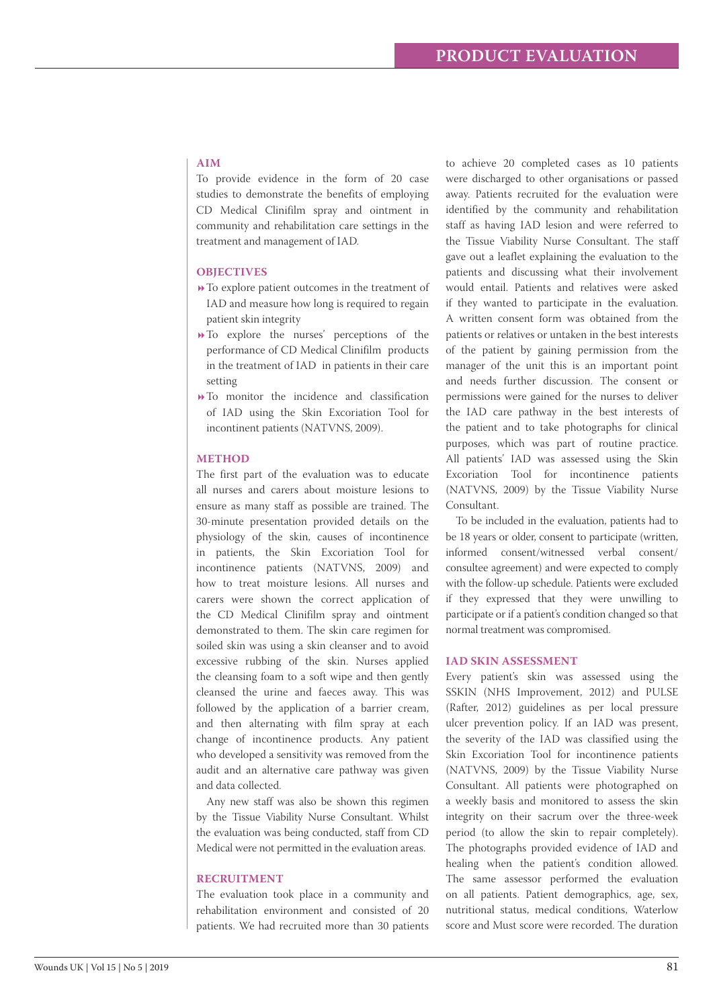# **AIM**

To provide evidence in the form of 20 case studies to demonstrate the benefits of employing CD Medical Clinifilm spray and ointment in community and rehabilitation care settings in the treatment and management of IAD.

#### **OBJECTIVES**

- To explore patient outcomes in the treatment of IAD and measure how long is required to regain patient skin integrity
- To explore the nurses' perceptions of the performance of CD Medical Clinifilm products in the treatment of IAD in patients in their care setting
- $\rightarrow$  To monitor the incidence and classification of IAD using the Skin Excoriation Tool for incontinent patients (NATVNS, 2009).

#### **METHOD**

The first part of the evaluation was to educate all nurses and carers about moisture lesions to ensure as many staff as possible are trained. The 30-minute presentation provided details on the physiology of the skin, causes of incontinence in patients, the Skin Excoriation Tool for incontinence patients (NATVNS, 2009) and how to treat moisture lesions. All nurses and carers were shown the correct application of the CD Medical Clinifilm spray and ointment demonstrated to them. The skin care regimen for soiled skin was using a skin cleanser and to avoid excessive rubbing of the skin. Nurses applied the cleansing foam to a soft wipe and then gently cleansed the urine and faeces away. This was followed by the application of a barrier cream, and then alternating with film spray at each change of incontinence products. Any patient who developed a sensitivity was removed from the audit and an alternative care pathway was given and data collected.

Any new staff was also be shown this regimen by the Tissue Viability Nurse Consultant. Whilst the evaluation was being conducted, staff from CD Medical were not permitted in the evaluation areas.

#### **RECRUITMENT**

The evaluation took place in a community and rehabilitation environment and consisted of 20 patients. We had recruited more than 30 patients

to achieve 20 completed cases as 10 patients were discharged to other organisations or passed away. Patients recruited for the evaluation were identified by the community and rehabilitation staff as having IAD lesion and were referred to the Tissue Viability Nurse Consultant. The staff gave out a leaflet explaining the evaluation to the patients and discussing what their involvement would entail. Patients and relatives were asked if they wanted to participate in the evaluation. A written consent form was obtained from the patients or relatives or untaken in the best interests of the patient by gaining permission from the manager of the unit this is an important point and needs further discussion. The consent or permissions were gained for the nurses to deliver the IAD care pathway in the best interests of the patient and to take photographs for clinical purposes, which was part of routine practice. All patients' IAD was assessed using the Skin Excoriation Tool for incontinence patients (NATVNS, 2009) by the Tissue Viability Nurse Consultant.

To be included in the evaluation, patients had to be 18 years or older, consent to participate (written, informed consent/witnessed verbal consent/ consultee agreement) and were expected to comply with the follow-up schedule. Patients were excluded if they expressed that they were unwilling to participate or if a patient's condition changed so that normal treatment was compromised.

#### **IAD SKIN ASSESSMENT**

Every patient's skin was assessed using the SSKIN (NHS Improvement, 2012) and PULSE (Rafter, 2012) guidelines as per local pressure ulcer prevention policy. If an IAD was present, the severity of the IAD was classified using the Skin Excoriation Tool for incontinence patients (NATVNS, 2009) by the Tissue Viability Nurse Consultant. All patients were photographed on a weekly basis and monitored to assess the skin integrity on their sacrum over the three-week period (to allow the skin to repair completely). The photographs provided evidence of IAD and healing when the patient's condition allowed. The same assessor performed the evaluation on all patients. Patient demographics, age, sex, nutritional status, medical conditions, Waterlow score and Must score were recorded. The duration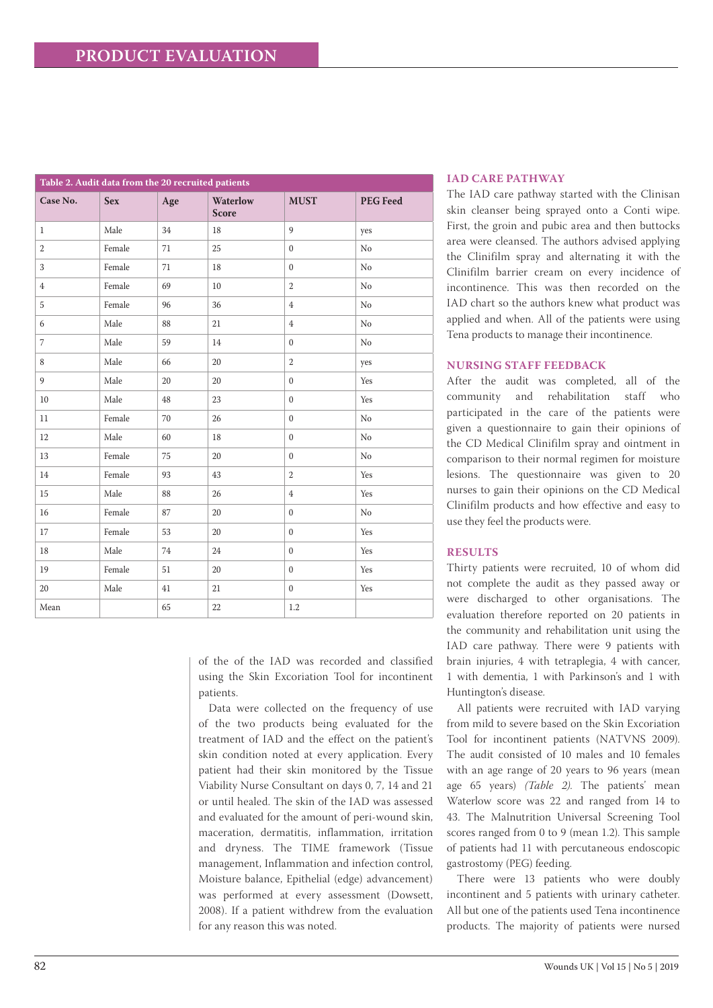| Table 2. Audit data from the 20 recruited patients |            |     |                                 |                |                 |  |  |
|----------------------------------------------------|------------|-----|---------------------------------|----------------|-----------------|--|--|
| Case No.                                           | <b>Sex</b> | Age | <b>Waterlow</b><br><b>Score</b> | <b>MUST</b>    | <b>PEG Feed</b> |  |  |
| $\mathbf{1}$                                       | Male       | 34  | 18                              | $\overline{9}$ | yes             |  |  |
| $\overline{2}$                                     | Female     | 71  | 25                              | $\mathbf{0}$   | No              |  |  |
| 3                                                  | Female     | 71  | 18                              | $\mathbf{0}$   | No              |  |  |
| $\overline{4}$                                     | Female     | 69  | 10                              | $\overline{2}$ | No              |  |  |
| 5                                                  | Female     | 96  | 36                              | $\,4\,$        | No              |  |  |
| 6                                                  | Male       | 88  | 21                              | $\overline{4}$ | No              |  |  |
| $\overline{7}$                                     | Male       | 59  | 14                              | $\mathbf{0}$   | $\rm No$        |  |  |
| 8                                                  | Male       | 66  | 20                              | $\overline{2}$ | yes             |  |  |
| 9                                                  | Male       | 20  | 20                              | $\mathbf{0}$   | Yes             |  |  |
| 10                                                 | Male       | 48  | 23                              | $\mathbf{0}$   | Yes             |  |  |
| 11                                                 | Female     | 70  | 26                              | $\mathbf{0}$   | No              |  |  |
| 12                                                 | Male       | 60  | 18                              | $\mathbf{0}$   | No              |  |  |
| 13                                                 | Female     | 75  | 20                              | $\mathbf{0}$   | No              |  |  |
| 14                                                 | Female     | 93  | 43                              | $\overline{2}$ | Yes             |  |  |
| 15                                                 | Male       | 88  | 26                              | $\,4\,$        | Yes             |  |  |
| 16                                                 | Female     | 87  | 20                              | $\mathbf{0}$   | No              |  |  |
| 17                                                 | Female     | 53  | 20                              | $\mathbf{0}$   | Yes             |  |  |
| 18                                                 | Male       | 74  | 24                              | $\mathbf{0}$   | Yes             |  |  |
| 19                                                 | Female     | 51  | 20                              | $\mathbf{0}$   | Yes             |  |  |
| 20                                                 | Male       | 41  | 21                              | $\mathbf{0}$   | Yes             |  |  |
| Mean                                               |            | 65  | 22                              | 1.2            |                 |  |  |

of the of the IAD was recorded and classified using the Skin Excoriation Tool for incontinent patients.

Data were collected on the frequency of use of the two products being evaluated for the treatment of IAD and the effect on the patient's skin condition noted at every application. Every patient had their skin monitored by the Tissue Viability Nurse Consultant on days 0, 7, 14 and 21 or until healed. The skin of the IAD was assessed and evaluated for the amount of peri-wound skin, maceration, dermatitis, inflammation, irritation and dryness. The TIME framework (Tissue management, Inflammation and infection control, Moisture balance, Epithelial (edge) advancement) was performed at every assessment (Dowsett, 2008). If a patient withdrew from the evaluation for any reason this was noted.

# **IAD CARE PATHWAY**

The IAD care pathway started with the Clinisan skin cleanser being sprayed onto a Conti wipe. First, the groin and pubic area and then buttocks area were cleansed. The authors advised applying the Clinifilm spray and alternating it with the Clinifilm barrier cream on every incidence of incontinence. This was then recorded on the IAD chart so the authors knew what product was applied and when. All of the patients were using Tena products to manage their incontinence.

## **NURSING STAFF FEEDBACK**

After the audit was completed, all of the community and rehabilitation staff who participated in the care of the patients were given a questionnaire to gain their opinions of the CD Medical Clinifilm spray and ointment in comparison to their normal regimen for moisture lesions. The questionnaire was given to 20 nurses to gain their opinions on the CD Medical Clinifilm products and how effective and easy to use they feel the products were.

# **RESULTS**

Thirty patients were recruited, 10 of whom did not complete the audit as they passed away or were discharged to other organisations. The evaluation therefore reported on 20 patients in the community and rehabilitation unit using the IAD care pathway. There were 9 patients with brain injuries, 4 with tetraplegia, 4 with cancer, 1 with dementia, 1 with Parkinson's and 1 with Huntington's disease.

All patients were recruited with IAD varying from mild to severe based on the Skin Excoriation Tool for incontinent patients (NATVNS 2009). The audit consisted of 10 males and 10 females with an age range of 20 years to 96 years (mean age 65 years) *(Table 2)*. The patients' mean Waterlow score was 22 and ranged from 14 to 43. The Malnutrition Universal Screening Tool scores ranged from 0 to 9 (mean 1.2). This sample of patients had 11 with percutaneous endoscopic gastrostomy (PEG) feeding.

There were 13 patients who were doubly incontinent and 5 patients with urinary catheter. All but one of the patients used Tena incontinence products. The majority of patients were nursed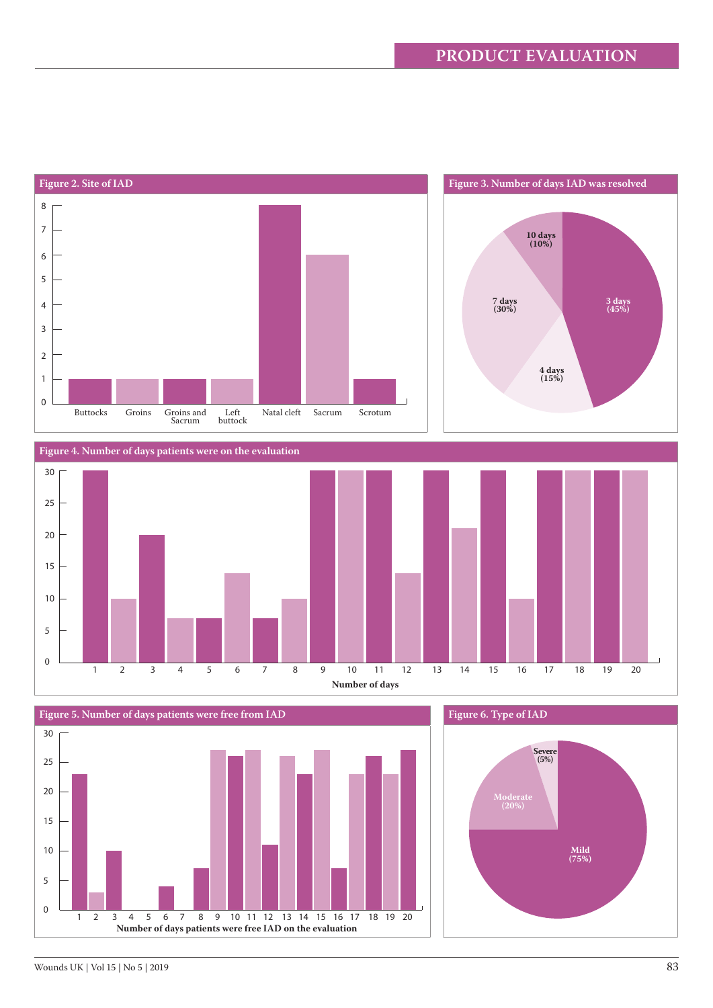

1 2 3 4 5 6 7 8 9 10 11 12 13 14 15 16 17 18 19 20 **Number of days patients were free IAD on the evaluation**

0

5

10

**Mild (75%)**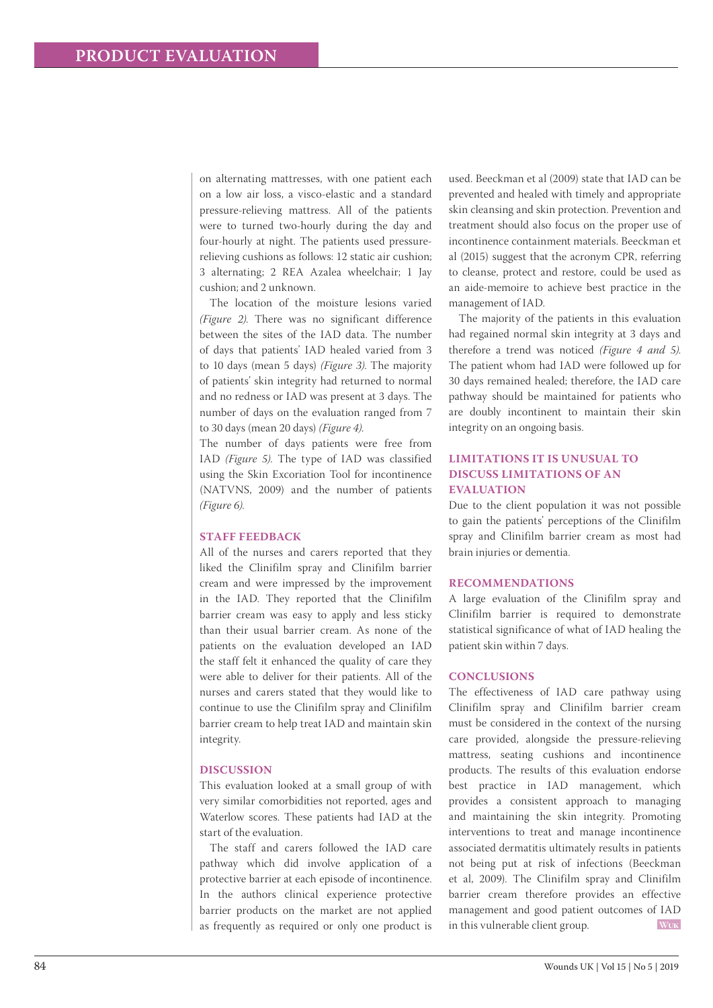on alternating mattresses, with one patient each on a low air loss, a visco-elastic and a standard pressure-relieving mattress. All of the patients were to turned two-hourly during the day and four-hourly at night. The patients used pressurerelieving cushions as follows: 12 static air cushion; 3 alternating; 2 REA Azalea wheelchair; 1 Jay cushion; and 2 unknown.

The location of the moisture lesions varied *(Figure 2)*. There was no significant difference between the sites of the IAD data. The number of days that patients' IAD healed varied from 3 to 10 days (mean 5 days) *(Figure 3)*. The majority of patients' skin integrity had returned to normal and no redness or IAD was present at 3 days. The number of days on the evaluation ranged from 7 to 30 days (mean 20 days) *(Figure 4)*.

The number of days patients were free from IAD *(Figure 5)*. The type of IAD was classified using the Skin Excoriation Tool for incontinence (NATVNS, 2009) and the number of patients *(Figure 6)*.

#### **STAFF FEEDBACK**

All of the nurses and carers reported that they liked the Clinifilm spray and Clinifilm barrier cream and were impressed by the improvement in the IAD. They reported that the Clinifilm barrier cream was easy to apply and less sticky than their usual barrier cream. As none of the patients on the evaluation developed an IAD the staff felt it enhanced the quality of care they were able to deliver for their patients. All of the nurses and carers stated that they would like to continue to use the Clinifilm spray and Clinifilm barrier cream to help treat IAD and maintain skin integrity.

#### **DISCUSSION**

This evaluation looked at a small group of with very similar comorbidities not reported, ages and Waterlow scores. These patients had IAD at the start of the evaluation.

The staff and carers followed the IAD care pathway which did involve application of a protective barrier at each episode of incontinence. In the authors clinical experience protective barrier products on the market are not applied as frequently as required or only one product is used. Beeckman et al (2009) state that IAD can be prevented and healed with timely and appropriate skin cleansing and skin protection. Prevention and treatment should also focus on the proper use of incontinence containment materials. Beeckman et al (2015) suggest that the acronym CPR, referring to cleanse, protect and restore, could be used as an aide-memoire to achieve best practice in the management of IAD.

The majority of the patients in this evaluation had regained normal skin integrity at 3 days and therefore a trend was noticed *(Figure 4 and 5)*. The patient whom had IAD were followed up for 30 days remained healed; therefore, the IAD care pathway should be maintained for patients who are doubly incontinent to maintain their skin integrity on an ongoing basis.

# **LIMITATIONS IT IS UNUSUAL TO DISCUSS LIMITATIONS OF AN EVALUATION**

Due to the client population it was not possible to gain the patients' perceptions of the Clinifilm spray and Clinifilm barrier cream as most had brain injuries or dementia.

#### **RECOMMENDATIONS**

A large evaluation of the Clinifilm spray and Clinifilm barrier is required to demonstrate statistical significance of what of IAD healing the patient skin within 7 days.

## **CONCLUSIONS**

The effectiveness of IAD care pathway using Clinifilm spray and Clinifilm barrier cream must be considered in the context of the nursing care provided, alongside the pressure-relieving mattress, seating cushions and incontinence products. The results of this evaluation endorse best practice in IAD management, which provides a consistent approach to managing and maintaining the skin integrity. Promoting interventions to treat and manage incontinence associated dermatitis ultimately results in patients not being put at risk of infections (Beeckman et al, 2009). The Clinifilm spray and Clinifilm barrier cream therefore provides an effective management and good patient outcomes of IAD in this vulnerable client group. **Wuk**